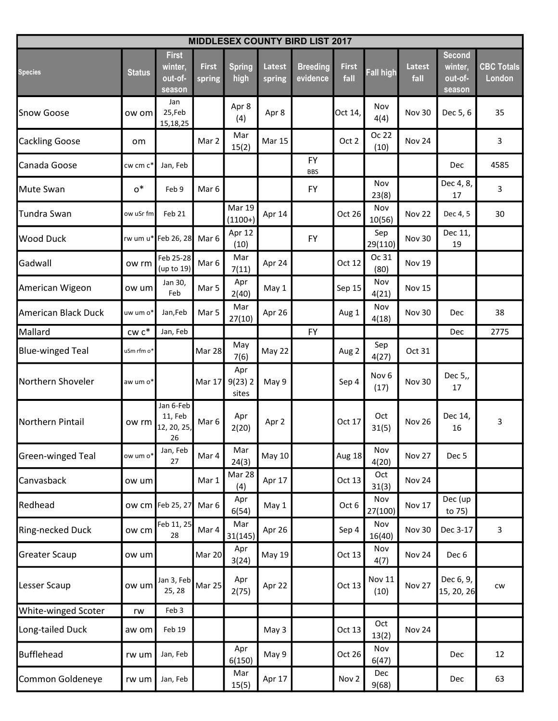|                         | <b>MIDDLESEX COUNTY BIRD LIST 2017</b> |                                              |                        |                           |                         |                             |                      |                          |                       |                                               |                             |  |  |
|-------------------------|----------------------------------------|----------------------------------------------|------------------------|---------------------------|-------------------------|-----------------------------|----------------------|--------------------------|-----------------------|-----------------------------------------------|-----------------------------|--|--|
| <b>Species</b>          | <b>Status</b>                          | <b>First</b><br>winter,<br>out-of-<br>season | <b>First</b><br>spring | <b>Spring</b><br>high     | <b>Latest</b><br>spring | <b>Breeding</b><br>evidence | <b>First</b><br>fall | <b>Fall high</b>         | <b>Latest</b><br>fall | <b>Second</b><br>winter,<br>out-of-<br>season | <b>CBC Totals</b><br>London |  |  |
| <b>Snow Goose</b>       | ow om                                  | Jan<br>25,Feb<br>15,18,25                    |                        | Apr 8<br>(4)              | Apr 8                   |                             | Oct 14,              | Nov<br>4(4)              | Nov 30                | Dec 5, 6                                      | 35                          |  |  |
| <b>Cackling Goose</b>   | om                                     |                                              | Mar 2                  | Mar<br>15(2)              | <b>Mar 15</b>           |                             | Oct 2                | Oc 22<br>(10)            | Nov 24                |                                               | 3                           |  |  |
| Canada Goose            | cw cm c*                               | Jan, Feb                                     |                        |                           |                         | <b>FY</b><br><b>BBS</b>     |                      |                          |                       | Dec                                           | 4585                        |  |  |
| <b>Mute Swan</b>        | $0^*$                                  | Feb 9                                        | Mar <sub>6</sub>       |                           |                         | <b>FY</b>                   |                      | Nov<br>23(8)             |                       | Dec 4, 8,<br>17                               | 3                           |  |  |
| Tundra Swan             | ow uSr fm                              | Feb 21                                       |                        | Mar 19<br>$(1100+)$       | Apr 14                  |                             | Oct 26               | Nov<br>10(56)            | Nov 22                | Dec 4, 5                                      | 30                          |  |  |
| <b>Wood Duck</b>        |                                        | rw um u* Feb 26, 28                          | Mar 6                  | Apr 12<br>(10)            |                         | <b>FY</b>                   |                      | Sep<br>29(110)           | Nov 30                | Dec 11,<br>19                                 |                             |  |  |
| Gadwall                 | ow rm                                  | Feb 25-28<br>(up to 19)                      | Mar 6                  | Mar<br>7(11)              | Apr 24                  |                             | Oct 12               | Oc 31<br>(80)            | Nov 19                |                                               |                             |  |  |
| American Wigeon         | ow um                                  | Jan 30,<br>Feb                               | Mar 5                  | Apr<br>2(40)              | May 1                   |                             | Sep 15               | Nov<br>4(21)             | Nov 15                |                                               |                             |  |  |
| American Black Duck     | uw um o*                               | Jan, Feb                                     | Mar 5                  | Mar<br>27(10)             | Apr 26                  |                             | Aug 1                | Nov<br>4(18)             | Nov 30                | Dec                                           | 38                          |  |  |
| Mallard                 | $cw$ $c^*$                             | Jan, Feb                                     |                        |                           |                         | <b>FY</b>                   |                      |                          |                       | Dec                                           | 2775                        |  |  |
| <b>Blue-winged Teal</b> | uSm rfm o*                             |                                              | Mar 28                 | May<br>7(6)               | May 22                  |                             | Aug 2                | Sep<br>4(27)             | Oct 31                |                                               |                             |  |  |
| Northern Shoveler       | aw um o*                               |                                              | Mar 17                 | Apr<br>$9(23)$ 2<br>sites | May 9                   |                             | Sep 4                | Nov <sub>6</sub><br>(17) | <b>Nov 30</b>         | Dec 5,,<br>17                                 |                             |  |  |
| Northern Pintail        | ow rm                                  | Jan 6-Feb<br>11, Feb<br>12, 20, 25,<br>26    | Mar <sub>6</sub>       | Apr<br>2(20)              | Apr 2                   |                             | Oct 17               | Oct<br>31(5)             | Nov 26                | Dec 14,<br>16                                 | 3                           |  |  |
| Green-winged Teal       | ow um o*                               | Jan, Feb<br>27                               | Mar 4                  | Mar<br>24(3)              | <b>May 10</b>           |                             | Aug 18               | Nov<br>4(20)             | Nov 27                | Dec <sub>5</sub>                              |                             |  |  |
| Canvasback              | ow um                                  |                                              | Mar 1                  | Mar 28<br>(4)             | Apr 17                  |                             | Oct 13               | Oct<br>31(3)             | Nov 24                |                                               |                             |  |  |
| Redhead                 |                                        | ow cm Feb 25, 27                             | Mar 6                  | Apr<br>6(54)              | May 1                   |                             | Oct 6                | Nov<br>27(100)           | <b>Nov 17</b>         | Dec (up<br>to 75)                             |                             |  |  |
| Ring-necked Duck        | ow cm                                  | Feb 11, 25<br>28                             | Mar 4                  | Mar<br>31(145)            | Apr 26                  |                             | Sep 4                | Nov<br>16(40)            | <b>Nov 30</b>         | Dec 3-17                                      | $\mathbf{3}$                |  |  |
| <b>Greater Scaup</b>    | ow uml                                 |                                              | Mar 20                 | Apr<br>3(24)              | May 19                  |                             | Oct 13               | Nov<br>4(7)              | Nov 24                | Dec 6                                         |                             |  |  |
| Lesser Scaup            | ow um                                  | Jan 3, Feb<br>25, 28                         | Mar 25                 | Apr<br>2(75)              | Apr 22                  |                             | Oct 13               | <b>Nov 11</b><br>(10)    | Nov 27                | Dec 6, 9,<br>15, 20, 26                       | <b>CW</b>                   |  |  |
| White-winged Scoter     | rw                                     | Feb 3                                        |                        |                           |                         |                             |                      |                          |                       |                                               |                             |  |  |
| Long-tailed Duck        | aw om                                  | Feb 19                                       |                        |                           | May 3                   |                             | Oct 13               | Oct<br>13(2)             | Nov 24                |                                               |                             |  |  |
| Bufflehead              | rw um                                  | Jan, Feb                                     |                        | Apr<br>6(150)             | May 9                   |                             | Oct 26               | Nov<br>6(47)             |                       | Dec                                           | 12                          |  |  |
| Common Goldeneye        | rw um                                  | Jan, Feb                                     |                        | Mar<br>15(5)              | Apr 17                  |                             | Nov <sub>2</sub>     | Dec<br>9(68)             |                       | Dec                                           | 63                          |  |  |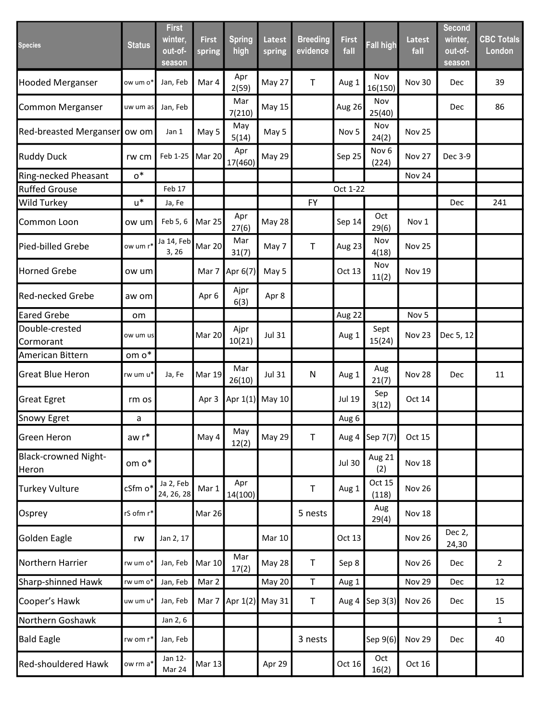| <b>Species</b>                       | <b>Status</b> | <b>First</b><br>winter,<br>out-of-<br>season | <b>First</b><br>spring | <b>Spring</b><br>high | <b>Latest</b><br>spring | <b>Breeding</b><br>evidence | <b>First</b><br>fall | <b>Fall high</b>          | <b>Latest</b><br>fall | <b>Second</b><br>winter,<br>out-of-<br>season | <b>CBC Totals</b><br>London |
|--------------------------------------|---------------|----------------------------------------------|------------------------|-----------------------|-------------------------|-----------------------------|----------------------|---------------------------|-----------------------|-----------------------------------------------|-----------------------------|
| <b>Hooded Merganser</b>              | ow um o*      | Jan, Feb                                     | Mar 4                  | Apr<br>2(59)          | May 27                  | $\mathsf T$                 | Aug 1                | Nov<br>16(150)            | <b>Nov 30</b>         | Dec                                           | 39                          |
| Common Merganser                     | uw um as      | Jan, Feb                                     |                        | Mar<br>7(210)         | May 15                  |                             | Aug 26               | Nov<br>25(40)             |                       | Dec                                           | 86                          |
| <b>Red-breasted Merganser</b>        | ow om         | Jan 1                                        | May 5                  | May<br>5(14)          | May 5                   |                             | Nov <sub>5</sub>     | Nov<br>24(2)              | Nov 25                |                                               |                             |
| <b>Ruddy Duck</b>                    | rw cm         | Feb 1-25                                     | Mar 20                 | Apr<br>17(460)        | May 29                  |                             | Sep 25               | Nov <sub>6</sub><br>(224) | Nov 27                | Dec 3-9                                       |                             |
| Ring-necked Pheasant                 | $0^*$         |                                              |                        |                       |                         |                             |                      |                           | Nov 24                |                                               |                             |
| <b>Ruffed Grouse</b>                 |               | Feb 17                                       |                        |                       |                         |                             | Oct 1-22             |                           |                       |                                               |                             |
| <b>Wild Turkey</b>                   | $u^*$         | Ja, Fe                                       |                        |                       |                         | <b>FY</b>                   |                      |                           |                       | Dec                                           | 241                         |
| Common Loon                          | ow um         | Feb 5, 6                                     | Mar 25                 | Apr<br>27(6)          | <b>May 28</b>           |                             | Sep 14               | Oct<br>29(6)              | Nov 1                 |                                               |                             |
| Pied-billed Grebe                    | ow um r*      | Ja 14, Feb<br>3, 26                          | Mar 20                 | Mar<br>31(7)          | May 7                   | $\mathsf T$                 | Aug 23               | Nov<br>4(18)              | Nov 25                |                                               |                             |
| <b>Horned Grebe</b>                  | ow um         |                                              | Mar 7                  | Apr 6(7)              | May 5                   |                             | Oct 13               | Nov<br>11(2)              | <b>Nov 19</b>         |                                               |                             |
| <b>Red-necked Grebe</b>              | aw om         |                                              | Apr 6                  | Ajpr<br>6(3)          | Apr 8                   |                             |                      |                           |                       |                                               |                             |
| <b>Eared Grebe</b>                   | om            |                                              |                        |                       |                         |                             | Aug 22               |                           | Nov <sub>5</sub>      |                                               |                             |
| Double-crested<br>Cormorant          | ow um us      |                                              | Mar 20                 | Ajpr<br>10(21)        | <b>Jul 31</b>           |                             | Aug 1                | Sept<br>15(24)            | Nov 23                | Dec 5, 12                                     |                             |
| American Bittern                     | om o*         |                                              |                        |                       |                         |                             |                      |                           |                       |                                               |                             |
| <b>Great Blue Heron</b>              | rw um u*      | Ja, Fe                                       | <b>Mar 19</b>          | Mar<br>26(10)         | <b>Jul 31</b>           | ${\sf N}$                   | Aug 1                | Aug<br>21(7)              | Nov 28                | Dec                                           | 11                          |
| <b>Great Egret</b>                   | rm os         |                                              | Apr 3                  | Apr 1(1)              | May 10                  |                             | Jul 19               | Sep<br>3(12)              | Oct 14                |                                               |                             |
| Snowy Egret                          | a             |                                              |                        |                       |                         |                             | Aug 6                |                           |                       |                                               |                             |
| Green Heron                          | $awr^*$       |                                              | May 4                  | May<br>12(2)          | May 29                  | $\mathsf T$                 |                      | Aug 4 Sep 7(7)            | Oct 15                |                                               |                             |
| <b>Black-crowned Night-</b><br>Heron | om o*         |                                              |                        |                       |                         |                             | <b>Jul 30</b>        | Aug 21<br>(2)             | <b>Nov 18</b>         |                                               |                             |
| <b>Turkey Vulture</b>                | cSfm o*       | Ja 2, Feb<br>24, 26, 28                      | Mar 1                  | Apr<br>14(100)        |                         | $\mathsf T$                 | Aug 1                | Oct 15<br>(118)           | Nov 26                |                                               |                             |
| Osprey                               | rS ofm r*     |                                              | Mar 26                 |                       |                         | 5 nests                     |                      | Aug<br>29(4)              | <b>Nov 18</b>         |                                               |                             |
| Golden Eagle                         | rw            | Jan 2, 17                                    |                        |                       | <b>Mar 10</b>           |                             | Oct 13               |                           | Nov 26                | Dec 2,<br>24,30                               |                             |
| Northern Harrier                     | rw um o*      | Jan, Feb                                     | <b>Mar 10</b>          | Mar<br>17(2)          | <b>May 28</b>           | $\mathsf T$                 | Sep 8                |                           | Nov 26                | <b>Dec</b>                                    | $\overline{2}$              |
| Sharp-shinned Hawk                   | rw um o*      | Jan, Feb                                     | Mar 2                  |                       | May 20                  | $\mathsf T$                 | Aug 1                |                           | Nov 29                | Dec                                           | 12                          |
| Cooper's Hawk                        | uw um u*      | Jan, Feb                                     | Mar 7                  | Apr $1(2)$            | May 31                  | $\mathsf T$                 | Aug 4                | Sep 3(3)                  | Nov 26                | Dec                                           | 15                          |
| Northern Goshawk                     |               | Jan 2, 6                                     |                        |                       |                         |                             |                      |                           |                       |                                               | $\mathbf{1}$                |
| <b>Bald Eagle</b>                    | rw om r*      | Jan, Feb                                     |                        |                       |                         | 3 nests                     |                      | Sep 9(6)                  | Nov 29                | <b>Dec</b>                                    | 40                          |
| Red-shouldered Hawk                  | ow rm a*      | Jan 12-<br>Mar 24                            | <b>Mar 13</b>          |                       | Apr 29                  |                             | Oct 16               | Oct<br>16(2)              | Oct 16                |                                               |                             |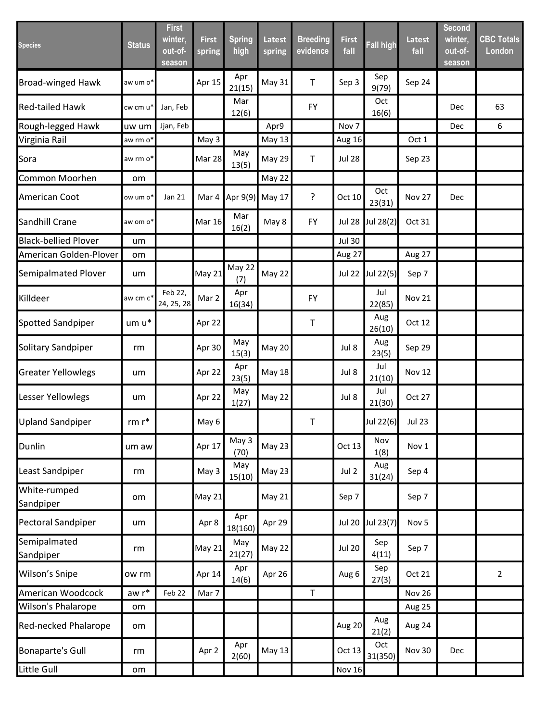| <b>Species</b>              | <b>Status</b>        | <b>First</b><br>winter,<br>out-of-<br>season | <b>First</b><br>spring | <b>Spring</b><br>high | <b>Latest</b><br>spring | <b>Breeding</b><br>evidence | <b>First</b><br>fall | <b>Fall high</b> | <b>Latest</b><br>fall | <b>Second</b><br>winter,<br>out-of-<br>season | <b>CBC Totals</b><br><b>London</b> |
|-----------------------------|----------------------|----------------------------------------------|------------------------|-----------------------|-------------------------|-----------------------------|----------------------|------------------|-----------------------|-----------------------------------------------|------------------------------------|
| <b>Broad-winged Hawk</b>    | aw um o*             |                                              | Apr 15                 | Apr<br>21(15)         | May 31                  | $\mathsf T$                 | Sep 3                | Sep<br>9(79)     | Sep 24                |                                               |                                    |
| <b>Red-tailed Hawk</b>      | cw cm u*             | Jan, Feb                                     |                        | Mar<br>12(6)          |                         | <b>FY</b>                   |                      | Oct<br>16(6)     |                       | Dec                                           | 63                                 |
| Rough-legged Hawk           | uw um                | Jjan, Feb                                    |                        |                       | Apr9                    |                             | Nov <sub>7</sub>     |                  |                       | Dec                                           | 6                                  |
| Virginia Rail               | aw rm o*             |                                              | May 3                  |                       | May 13                  |                             | Aug 16               |                  | Oct 1                 |                                               |                                    |
| Sora                        | aw rm o*             |                                              | Mar 28                 | May<br>13(5)          | May 29                  | $\mathsf T$                 | <b>Jul 28</b>        |                  | Sep 23                |                                               |                                    |
| Common Moorhen              | om                   |                                              |                        |                       | May 22                  |                             |                      |                  |                       |                                               |                                    |
| American Coot               | ow um o*             | Jan 21                                       | Mar 4                  | Apr 9(9)              | May 17                  | ?                           | Oct 10               | Oct<br>23(31)    | Nov 27                | Dec                                           |                                    |
| Sandhill Crane              | aw om o*             |                                              | <b>Mar 16</b>          | Mar<br>16(2)          | May 8                   | <b>FY</b>                   | <b>Jul 28</b>        | Jul 28(2)        | Oct 31                |                                               |                                    |
| <b>Black-bellied Plover</b> | um                   |                                              |                        |                       |                         |                             | <b>Jul 30</b>        |                  |                       |                                               |                                    |
| American Golden-Plover      | om                   |                                              |                        |                       |                         |                             | Aug 27               |                  | Aug 27                |                                               |                                    |
| Semipalmated Plover         | um                   |                                              | May 21                 | May 22<br>(7)         | May 22                  |                             | <b>Jul 22</b>        | Jul 22(5)        | Sep 7                 |                                               |                                    |
| Killdeer                    | aw cm c <sup>*</sup> | Feb 22,<br>24, 25, 28                        | Mar 2                  | Apr<br>16(34)         |                         | <b>FY</b>                   |                      | Jul<br>22(85)    | Nov 21                |                                               |                                    |
| Spotted Sandpiper           | um u*                |                                              | Apr 22                 |                       |                         | Τ                           |                      | Aug<br>26(10)    | Oct 12                |                                               |                                    |
| Solitary Sandpiper          | rm                   |                                              | Apr 30                 | May<br>15(3)          | <b>May 20</b>           |                             | Jul 8                | Aug<br>23(5)     | Sep 29                |                                               |                                    |
| <b>Greater Yellowlegs</b>   | um                   |                                              | Apr 22                 | Apr<br>23(5)          | <b>May 18</b>           |                             | Jul 8                | Jul<br>21(10)    | Nov 12                |                                               |                                    |
| Lesser Yellowlegs           | um                   |                                              | Apr 22                 | May<br>1(27)          | May 22                  |                             | Jul 8                | Jul<br>21(30)    | Oct 27                |                                               |                                    |
| <b>Upland Sandpiper</b>     | rm $\mathsf{r}^*$    |                                              | May 6                  |                       |                         | Τ                           |                      | Jul 22(6)        | <b>Jul 23</b>         |                                               |                                    |
| Dunlin                      | um aw                |                                              | Apr 17                 | May 3<br>(70)         | May 23                  |                             | Oct 13               | Nov<br>1(8)      | Nov 1                 |                                               |                                    |
| Least Sandpiper             | rm                   |                                              | May 3                  | May<br>15(10)         | <b>May 23</b>           |                             | Jul 2                | Aug<br>31(24)    | Sep 4                 |                                               |                                    |
| White-rumped<br>Sandpiper   | om                   |                                              | May 21                 |                       | May 21                  |                             | Sep 7                |                  | Sep 7                 |                                               |                                    |
| Pectoral Sandpiper          | um                   |                                              | Apr 8                  | Apr<br>18(160)        | Apr 29                  |                             | <b>Jul 20</b>        | Jul 23(7)        | Nov <sub>5</sub>      |                                               |                                    |
| Semipalmated<br>Sandpiper   | rm                   |                                              | May 21                 | May<br>21(27)         | May 22                  |                             | <b>Jul 20</b>        | Sep<br>4(11)     | Sep 7                 |                                               |                                    |
| Wilson's Snipe              | ow rm                |                                              | Apr 14                 | Apr<br>14(6)          | Apr 26                  |                             | Aug 6                | Sep<br>27(3)     | Oct 21                |                                               | $\overline{2}$                     |
| American Woodcock           | $awr^*$              | Feb 22                                       | Mar 7                  |                       |                         | $\top$                      |                      |                  | <b>Nov 26</b>         |                                               |                                    |
| Wilson's Phalarope          | om                   |                                              |                        |                       |                         |                             |                      |                  | Aug 25                |                                               |                                    |
| Red-necked Phalarope        | om                   |                                              |                        |                       |                         |                             | Aug 20               | Aug<br>21(2)     | Aug 24                |                                               |                                    |
| <b>Bonaparte's Gull</b>     | rm                   |                                              | Apr 2                  | Apr<br>2(60)          | <b>May 13</b>           |                             | Oct 13               | Oct<br>31(350)   | Nov 30                | <b>Dec</b>                                    |                                    |
| Little Gull                 | om                   |                                              |                        |                       |                         |                             | <b>Nov 16</b>        |                  |                       |                                               |                                    |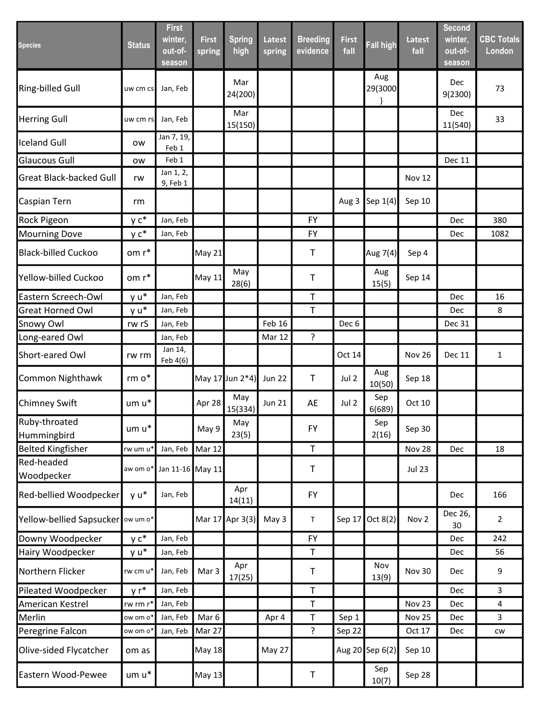| <b>Species</b>                 | <b>Status</b>        | <b>First</b><br>winter,<br>out-of-<br>season | <b>First</b><br>spring | <b>Spring</b><br>high | <b>Latest</b><br>spring | <b>Breeding</b><br>evidence | <b>First</b><br>fall | <b>Fall high</b> | <b>Latest</b><br>fall | Second<br>winter,<br>out-of-<br>season | <b>CBC Totals</b><br>London |
|--------------------------------|----------------------|----------------------------------------------|------------------------|-----------------------|-------------------------|-----------------------------|----------------------|------------------|-----------------------|----------------------------------------|-----------------------------|
| Ring-billed Gull               | uw cm cs             | Jan, Feb                                     |                        | Mar<br>24(200)        |                         |                             |                      | Aug<br>29(3000   |                       | Dec<br>9(2300)                         | 73                          |
| <b>Herring Gull</b>            | uw cm rs             | Jan, Feb                                     |                        | Mar<br>15(150)        |                         |                             |                      |                  |                       | Dec<br>11(540)                         | 33                          |
| <b>Iceland Gull</b>            | ow                   | Jan 7, 19,<br>Feb 1                          |                        |                       |                         |                             |                      |                  |                       |                                        |                             |
| <b>Glaucous Gull</b>           | <b>OW</b>            | Feb 1                                        |                        |                       |                         |                             |                      |                  |                       | <b>Dec 11</b>                          |                             |
| <b>Great Black-backed Gull</b> | rw                   | Jan 1, 2,<br>9, Feb 1                        |                        |                       |                         |                             |                      |                  | Nov 12                |                                        |                             |
| Caspian Tern                   | rm                   |                                              |                        |                       |                         |                             | Aug 3                | Sep 1(4)         | Sep 10                |                                        |                             |
| Rock Pigeon                    | $y c^*$              | Jan, Feb                                     |                        |                       |                         | <b>FY</b>                   |                      |                  |                       | Dec                                    | 380                         |
| <b>Mourning Dove</b>           | $y c^*$              | Jan, Feb                                     |                        |                       |                         | FY                          |                      |                  |                       | Dec                                    | 1082                        |
| <b>Black-billed Cuckoo</b>     | om r*                |                                              | May 21                 |                       |                         | Τ                           |                      | Aug 7(4)         | Sep 4                 |                                        |                             |
| Yellow-billed Cuckoo           | om r*                |                                              | May 11                 | May<br>28(6)          |                         | Τ                           |                      | Aug<br>15(5)     | Sep 14                |                                        |                             |
| Eastern Screech-Owl            | y u*                 | Jan, Feb                                     |                        |                       |                         | Τ                           |                      |                  |                       | Dec                                    | 16                          |
| <b>Great Horned Owl</b>        | y u*                 | Jan, Feb                                     |                        |                       |                         | T                           |                      |                  |                       | Dec                                    | 8                           |
| Snowy Owl                      | rw rS                | Jan, Feb                                     |                        |                       | Feb 16                  |                             | Dec <sub>6</sub>     |                  |                       | <b>Dec 31</b>                          |                             |
| Long-eared Owl                 |                      | Jan, Feb                                     |                        |                       | Mar 12                  | $\overline{?}$              |                      |                  |                       |                                        |                             |
| Short-eared Owl                | rw rm                | Jan 14,<br>Feb 4(6)                          |                        |                       |                         |                             | Oct 14               |                  | <b>Nov 26</b>         | <b>Dec 11</b>                          | $\mathbf{1}$                |
| <b>Common Nighthawk</b>        | $rm o*$              |                                              |                        | May 17 Jun 2*4)       | <b>Jun 22</b>           | $\mathsf T$                 | Jul 2                | Aug<br>10(50)    | Sep 18                |                                        |                             |
| <b>Chimney Swift</b>           | um u*                |                                              | Apr 28                 | May<br>15(334)        | <b>Jun 21</b>           | AE                          | Jul 2                | Sep<br>6(689)    | Oct 10                |                                        |                             |
| Ruby-throated<br>Hummingbird   | um u*                |                                              | May 9                  | May<br>23(5)          |                         | FY                          |                      | Sep<br>2(16)     | Sep 30                |                                        |                             |
| <b>Belted Kingfisher</b>       | rw um u*             | Jan, Feb                                     | Mar 12                 |                       |                         | $\sf T$                     |                      |                  | Nov 28                | Dec                                    | 18                          |
| Red-headed<br>Woodpecker       | aw om o*             | Jan 11-16 May 11                             |                        |                       |                         | $\mathsf T$                 |                      |                  | <b>Jul 23</b>         |                                        |                             |
| Red-bellied Woodpecker         | y u*                 | Jan, Feb                                     |                        | Apr<br>14(11)         |                         | <b>FY</b>                   |                      |                  |                       | Dec                                    | 166                         |
| Yellow-bellied Sapsucker       | ow um o*             |                                              |                        | Mar 17 Apr 3(3)       | May 3                   | T                           | Sep 17               | Oct $8(2)$       | Nov <sub>2</sub>      | Dec 26,<br>30                          | $\overline{2}$              |
| Downy Woodpecker               | $y c^*$              | Jan, Feb                                     |                        |                       |                         | FY                          |                      |                  |                       | Dec                                    | 242                         |
| Hairy Woodpecker               | y u*                 | Jan, Feb                                     |                        |                       |                         | $\mathsf T$                 |                      |                  |                       | Dec                                    | 56                          |
| Northern Flicker               | rw cm u*             | Jan, Feb                                     | Mar 3                  | Apr<br>17(25)         |                         | $\mathsf T$                 |                      | Nov<br>13(9)     | <b>Nov 30</b>         | Dec                                    | 9                           |
| Pileated Woodpecker            | $yr^*$               | Jan, Feb                                     |                        |                       |                         | $\sf T$                     |                      |                  |                       | Dec                                    | 3                           |
| American Kestrel               | rw rm r              | Jan, Feb                                     |                        |                       |                         | T                           |                      |                  | Nov 23                | Dec                                    | $\overline{4}$              |
| Merlin                         | ow om o <sup>*</sup> | Jan, Feb                                     | Mar 6                  |                       | Apr 4                   | $\sf T$                     | Sep 1                |                  | Nov 25                | Dec                                    | 3                           |
| Peregrine Falcon               | ow om o*             | Jan, Feb                                     | Mar 27                 |                       |                         | $\overline{?}$              | Sep 22               |                  | Oct 17                | Dec                                    | ${\sf\small CW}$            |
| Olive-sided Flycatcher         | om as                |                                              | May 18                 |                       | May 27                  |                             |                      | Aug 20 Sep 6(2)  | Sep 10                |                                        |                             |
| Eastern Wood-Pewee             | um u*                |                                              | <b>May 13</b>          |                       |                         | $\sf T$                     |                      | Sep<br>10(7)     | Sep 28                |                                        |                             |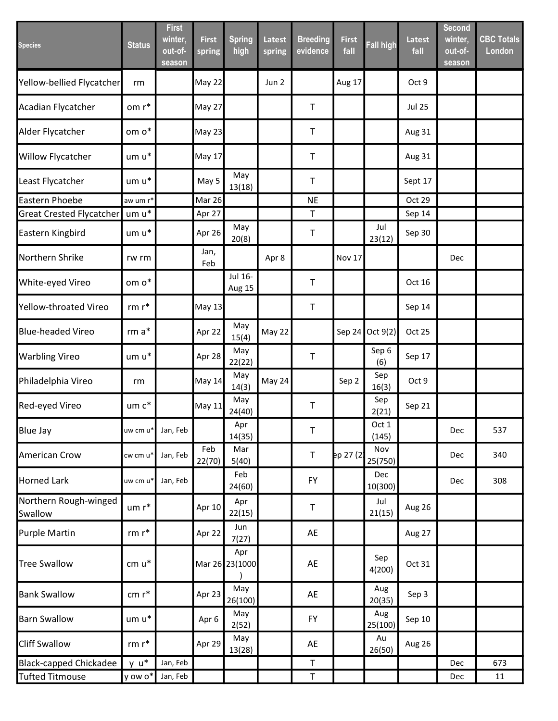| <b>Species</b>                   | <b>Status</b>        | <b>First</b><br>winter,<br>out-of-<br>season | <b>First</b><br>spring | <b>Spring</b><br>high | Latest<br>spring | <b>Breeding</b><br>evidence | <b>First</b><br>fall | <b>Fall high</b> | Latest<br>fall | <b>Second</b><br>winter,<br>out-of-<br>season | <b>CBC Totals</b><br>London |
|----------------------------------|----------------------|----------------------------------------------|------------------------|-----------------------|------------------|-----------------------------|----------------------|------------------|----------------|-----------------------------------------------|-----------------------------|
| Yellow-bellied Flycatcher        | rm                   |                                              | <b>May 22</b>          |                       | Jun 2            |                             | Aug 17               |                  | Oct 9          |                                               |                             |
| Acadian Flycatcher               | om r*                |                                              | <b>May 27</b>          |                       |                  | $\mathsf T$                 |                      |                  | <b>Jul 25</b>  |                                               |                             |
| Alder Flycatcher                 | om o*                |                                              | <b>May 23</b>          |                       |                  | $\mathsf T$                 |                      |                  | Aug 31         |                                               |                             |
| <b>Willow Flycatcher</b>         | um u*                |                                              | <b>May 17</b>          |                       |                  | $\mathsf T$                 |                      |                  | Aug 31         |                                               |                             |
| Least Flycatcher                 | um u*                |                                              | May 5                  | May<br>13(18)         |                  | $\mathsf T$                 |                      |                  | Sept 17        |                                               |                             |
| Eastern Phoebe                   | aw um r*             |                                              | Mar 26                 |                       |                  | <b>NE</b>                   |                      |                  | Oct 29         |                                               |                             |
| <b>Great Crested Flycatcher</b>  | um u*                |                                              | Apr 27                 |                       |                  | Τ                           |                      |                  | Sep 14         |                                               |                             |
| Eastern Kingbird                 | um u*                |                                              | Apr 26                 | May<br>20(8)          |                  | Τ                           |                      | Jul<br>23(12)    | Sep 30         |                                               |                             |
| Northern Shrike                  | rw rm                |                                              | Jan,<br>Feb            |                       | Apr 8            |                             | Nov 17               |                  |                | Dec                                           |                             |
| White-eyed Vireo                 | om o*                |                                              |                        | Jul 16-<br>Aug 15     |                  | $\sf T$                     |                      |                  | Oct 16         |                                               |                             |
| Yellow-throated Vireo            | $rm r*$              |                                              | May 13                 |                       |                  | $\top$                      |                      |                  | Sep 14         |                                               |                             |
| <b>Blue-headed Vireo</b>         | $rm a*$              |                                              | Apr 22                 | May<br>15(4)          | May 22           |                             |                      | Sep 24 Oct 9(2)  | Oct 25         |                                               |                             |
| <b>Warbling Vireo</b>            | $um u*$              |                                              | Apr 28                 | May<br>22(22)         |                  | $\sf T$                     |                      | Sep 6<br>(6)     | Sep 17         |                                               |                             |
| Philadelphia Vireo               | rm                   |                                              | May 14                 | May<br>14(3)          | May 24           |                             | Sep 2                | Sep<br>16(3)     | Oct 9          |                                               |                             |
| Red-eyed Vireo                   | um c*                |                                              | May 11                 | May<br>24(40)         |                  | $\mathsf T$                 |                      | Sep<br>2(21)     | Sep 21         |                                               |                             |
| <b>Blue Jay</b>                  | $uw$ cm $u^*$        | Jan, Feb                                     |                        | Apr<br>14(35)         |                  | T                           |                      | Oct 1<br>(145)   |                | Dec                                           | 537                         |
| <b>American Crow</b>             | cw cm u*             | Jan, Feb                                     | Feb<br>22(70)          | Mar<br>5(40)          |                  | $\mathsf T$                 | pp 27 (2)            | Nov<br>25(750)   |                | Dec                                           | 340                         |
| <b>Horned Lark</b>               | uw cm u <sup>*</sup> | Jan, Feb                                     |                        | Feb<br>24(60)         |                  | <b>FY</b>                   |                      | Dec<br>10(300)   |                | Dec                                           | 308                         |
| Northern Rough-winged<br>Swallow | $um r*$              |                                              | Apr 10                 | Apr<br>22(15)         |                  | $\mathsf T$                 |                      | Jul<br>21(15)    | Aug 26         |                                               |                             |
| <b>Purple Martin</b>             | $rm r*$              |                                              | Apr 22                 | Jun<br>7(27)          |                  | AE                          |                      |                  | Aug 27         |                                               |                             |
| <b>Tree Swallow</b>              | cm u*                |                                              |                        | Apr<br>Mar 26 23(1000 |                  | AE                          |                      | Sep<br>4(200)    | Oct 31         |                                               |                             |
| <b>Bank Swallow</b>              | $cm r*$              |                                              | Apr 23                 | May<br>26(100)        |                  | AE                          |                      | Aug<br>20(35)    | Sep 3          |                                               |                             |
| <b>Barn Swallow</b>              | um u*                |                                              | Apr <sub>6</sub>       | May<br>2(52)          |                  | <b>FY</b>                   |                      | Aug<br>25(100)   | Sep 10         |                                               |                             |
| <b>Cliff Swallow</b>             | rm $\mathsf{r}^*$    |                                              | Apr 29                 | May<br>13(28)         |                  | AE                          |                      | Au<br>26(50)     | Aug 26         |                                               |                             |
| <b>Black-capped Chickadee</b>    | $y u^*$              | Jan, Feb                                     |                        |                       |                  | T                           |                      |                  |                | Dec                                           | 673                         |
| <b>Tufted Titmouse</b>           | y ow o*              | Jan, Feb                                     |                        |                       |                  | Τ                           |                      |                  |                | Dec                                           | 11                          |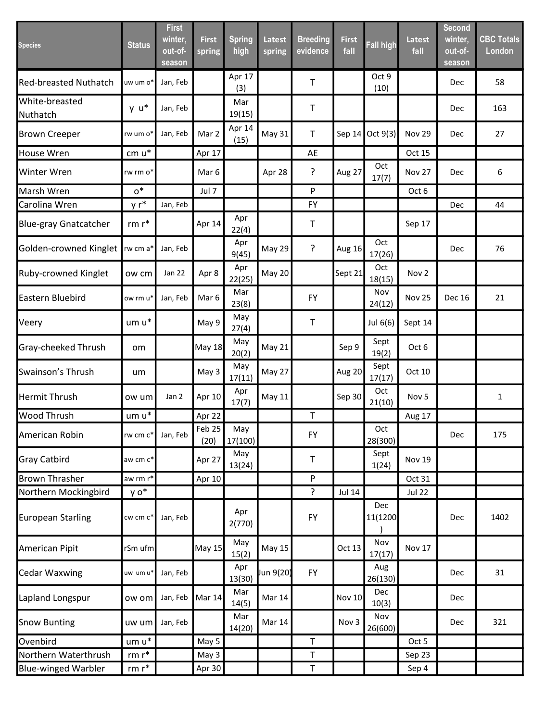| <b>Species</b>               | <b>Status</b> | <b>First</b><br>winter,<br>out-of-<br>season | <b>First</b><br>spring | <b>Spring</b><br>high | Latest<br>spring | <b>Breeding</b><br>evidence | <b>First</b><br>fall | <b>Fall high</b> | <b>Latest</b><br>fall | <b>Second</b><br>winter,<br>out-of-<br>season | <b>CBC Totals</b><br>London |
|------------------------------|---------------|----------------------------------------------|------------------------|-----------------------|------------------|-----------------------------|----------------------|------------------|-----------------------|-----------------------------------------------|-----------------------------|
| <b>Red-breasted Nuthatch</b> | uw um o*      | Jan, Feb                                     |                        | Apr 17<br>(3)         |                  | T                           |                      | Oct 9<br>(10)    |                       | Dec                                           | 58                          |
| White-breasted<br>Nuthatch   | $y u^*$       | Jan, Feb                                     |                        | Mar<br>19(15)         |                  | T                           |                      |                  |                       | Dec                                           | 163                         |
| <b>Brown Creeper</b>         | rw um o*      | Jan, Feb                                     | Mar 2                  | Apr 14<br>(15)        | May 31           | $\sf T$                     | Sep 14               | Oct 9(3)         | Nov 29                | Dec                                           | 27                          |
| <b>House Wren</b>            | $cm u*$       |                                              | Apr 17                 |                       |                  | AE                          |                      |                  | Oct 15                |                                               |                             |
| Winter Wren                  | rw rm o*      |                                              | Mar 6                  |                       | Apr 28           | ?                           | Aug 27               | Oct<br>17(7)     | <b>Nov 27</b>         | Dec                                           | 6                           |
| Marsh Wren                   | $0^*$         |                                              | Jul 7                  |                       |                  | P                           |                      |                  | Oct 6                 |                                               |                             |
| Carolina Wren                | $yr^*$        | Jan, Feb                                     |                        |                       |                  | <b>FY</b>                   |                      |                  |                       | Dec                                           | 44                          |
| <b>Blue-gray Gnatcatcher</b> | $rm r*$       |                                              | Apr 14                 | Apr<br>22(4)          |                  | Τ                           |                      |                  | Sep 17                |                                               |                             |
| Golden-crowned Kinglet       | rw cm a*      | Jan, Feb                                     |                        | Apr<br>9(45)          | <b>May 29</b>    | ?                           | Aug 16               | Oct<br>17(26)    |                       | Dec                                           | 76                          |
| Ruby-crowned Kinglet         | ow cm         | Jan 22                                       | Apr 8                  | Apr<br>22(25)         | May 20           |                             | Sept 21              | Oct<br>18(15)    | Nov <sub>2</sub>      |                                               |                             |
| Eastern Bluebird             | ow rm u*      | Jan, Feb                                     | Mar 6                  | Mar<br>23(8)          |                  | <b>FY</b>                   |                      | Nov<br>24(12)    | <b>Nov 25</b>         | <b>Dec 16</b>                                 | 21                          |
| Veery                        | um u*         |                                              | May 9                  | May<br>27(4)          |                  | $\mathsf T$                 |                      | Jul 6(6)         | Sept 14               |                                               |                             |
| Gray-cheeked Thrush          | om            |                                              | May 18                 | May<br>20(2)          | May 21           |                             | Sep 9                | Sept<br>19(2)    | Oct 6                 |                                               |                             |
| Swainson's Thrush            | um            |                                              | May 3                  | May<br>17(11)         | May 27           |                             | Aug 20               | Sept<br>17(17)   | Oct 10                |                                               |                             |
| <b>Hermit Thrush</b>         | ow um         | Jan 2                                        | Apr 10                 | Apr<br>17(7)          | May 11           |                             | Sep 30               | Oct<br>21(10)    | Nov <sub>5</sub>      |                                               | $\mathbf{1}$                |
| <b>Wood Thrush</b>           | um u*         |                                              | Apr 22                 |                       |                  | $\sf T$                     |                      |                  | Aug 17                |                                               |                             |
| American Robin               | rw cm c*      | Jan, Feb                                     | Feb25<br>(20)          | May<br>17(100)        |                  | <b>FY</b>                   |                      | Oct<br>28(300)   |                       | Dec                                           | 175                         |
| <b>Gray Catbird</b>          | aw cm c*      |                                              | Apr 27                 | May<br>13(24)         |                  | Τ                           |                      | Sept<br>1(24)    | <b>Nov 19</b>         |                                               |                             |
| <b>Brown Thrasher</b>        | aw rm r*      |                                              | Apr 10                 |                       |                  | P                           |                      |                  | Oct 31                |                                               |                             |
| Northern Mockingbird         | y o*          |                                              |                        |                       |                  | $\tilde{.}$                 | <b>Jul 14</b>        |                  | <b>Jul 22</b>         |                                               |                             |
| <b>European Starling</b>     | cw cm c*      | Jan, Feb                                     |                        | Apr<br>2(770)         |                  | FY                          |                      | Dec<br>11(1200   |                       | <b>Dec</b>                                    | 1402                        |
| American Pipit               | rSm ufm       |                                              | May 15                 | May<br>15(2)          | May 15           |                             | Oct 13               | Nov<br>17(17)    | Nov 17                |                                               |                             |
| <b>Cedar Waxwing</b>         | uw umu*       | Jan, Feb                                     |                        | Apr<br>13(30)         | Jun 9(20)        | <b>FY</b>                   |                      | Aug<br>26(130)   |                       | <b>Dec</b>                                    | 31                          |
| Lapland Longspur             | ow om         | Jan, Feb                                     | Mar 14                 | Mar<br>14(5)          | Mar 14           |                             | <b>Nov 10</b>        | Dec<br>10(3)     |                       | Dec                                           |                             |
| <b>Snow Bunting</b>          | uw um         | Jan, Feb                                     |                        | Mar<br>14(20)         | Mar 14           |                             | Nov 3                | Nov<br>26(600)   |                       | Dec                                           | 321                         |
| Ovenbird                     | $um u^*$      |                                              | May 5                  |                       |                  | T                           |                      |                  | Oct 5                 |                                               |                             |
| Northern Waterthrush         | $rm r*$       |                                              | May 3                  |                       |                  | T                           |                      |                  | Sep 23                |                                               |                             |
| <b>Blue-winged Warbler</b>   | $rm r*$       |                                              | Apr 30                 |                       |                  | T                           |                      |                  | Sep 4                 |                                               |                             |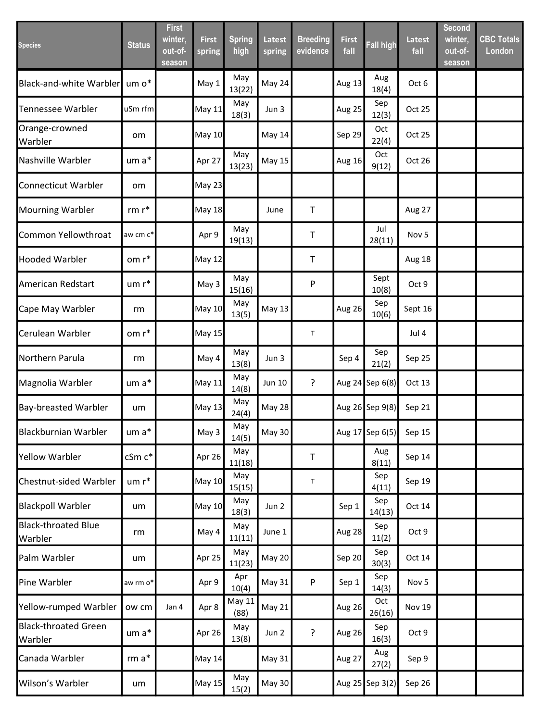| <b>Species</b>                         | <b>Status</b> | <b>First</b><br>winter,<br>out-of-<br>season | <b>First</b><br>spring | <b>Spring</b><br>high | <b>Latest</b><br>spring | <b>Breeding</b><br>evidence | <b>First</b><br>fall | <b>Fall high</b> | <b>Latest</b><br>fall | <b>Second</b><br>winter,<br>out-of-<br>season | <b>CBC Totals</b><br>London |
|----------------------------------------|---------------|----------------------------------------------|------------------------|-----------------------|-------------------------|-----------------------------|----------------------|------------------|-----------------------|-----------------------------------------------|-----------------------------|
| <b>Black-and-white Warbler</b>         | um o*         |                                              | May 1                  | May<br>13(22)         | May 24                  |                             | Aug 13               | Aug<br>18(4)     | Oct 6                 |                                               |                             |
| <b>Tennessee Warbler</b>               | uSm rfm       |                                              | May 11                 | May<br>18(3)          | Jun 3                   |                             | Aug 25               | Sep<br>12(3)     | Oct 25                |                                               |                             |
| Orange-crowned<br>Warbler              | om            |                                              | <b>May 10</b>          |                       | May 14                  |                             | Sep 29               | Oct<br>22(4)     | Oct 25                |                                               |                             |
| Nashville Warbler                      | $um a*$       |                                              | Apr 27                 | May<br>13(23)         | <b>May 15</b>           |                             | Aug 16               | Oct<br>9(12)     | Oct 26                |                                               |                             |
| Connecticut Warbler                    | om            |                                              | May 23                 |                       |                         |                             |                      |                  |                       |                                               |                             |
| <b>Mourning Warbler</b>                | $rm r*$       |                                              | <b>May 18</b>          |                       | June                    | Τ                           |                      |                  | Aug 27                |                                               |                             |
| Common Yellowthroat                    | aw cm c*      |                                              | Apr 9                  | May<br>19(13)         |                         | Τ                           |                      | Jul<br>28(11)    | Nov <sub>5</sub>      |                                               |                             |
| <b>Hooded Warbler</b>                  | om r*         |                                              | <b>May 12</b>          |                       |                         | Τ                           |                      |                  | Aug 18                |                                               |                             |
| American Redstart                      | um r*         |                                              | May 3                  | May<br>15(16)         |                         | P                           |                      | Sept<br>10(8)    | Oct 9                 |                                               |                             |
| Cape May Warbler                       | rm            |                                              | May 10                 | May<br>13(5)          | May 13                  |                             | Aug 26               | Sep<br>10(6)     | Sept 16               |                                               |                             |
| Cerulean Warbler                       | om r*         |                                              | May 15                 |                       |                         | $\mathsf T$                 |                      |                  | Jul 4                 |                                               |                             |
| Northern Parula                        | rm            |                                              | May 4                  | May<br>13(8)          | Jun 3                   |                             | Sep 4                | Sep<br>21(2)     | Sep 25                |                                               |                             |
| Magnolia Warbler                       | um a*         |                                              | May 11                 | May<br>14(8)          | <b>Jun 10</b>           | ?                           |                      | Aug 24 Sep 6(8)  | Oct 13                |                                               |                             |
| <b>Bay-breasted Warbler</b>            | um            |                                              | May 13                 | May<br>24(4)          | <b>May 28</b>           |                             |                      | Aug 26 Sep 9(8)  | Sep 21                |                                               |                             |
| <b>Blackburnian Warbler</b>            | $um a*$       |                                              | May 3                  | May<br>14(5)          | May 30                  |                             |                      | Aug 17 Sep 6(5)  | Sep 15                |                                               |                             |
| <b>Yellow Warbler</b>                  | cSm c*        |                                              | Apr 26                 | May<br>11(18)         |                         | T                           |                      | Aug<br>8(11)     | Sep 14                |                                               |                             |
| Chestnut-sided Warbler                 | $um r*$       |                                              | May 10                 | May<br>15(15)         |                         | $\mathsf T$                 |                      | Sep<br>4(11)     | Sep 19                |                                               |                             |
| <b>Blackpoll Warbler</b>               | um            |                                              | May 10                 | May<br>18(3)          | Jun 2                   |                             | Sep 1                | Sep<br>14(13)    | Oct 14                |                                               |                             |
| <b>Black-throated Blue</b><br>Warbler  | rm            |                                              | May 4                  | May<br>11(11)         | June 1                  |                             | Aug 28               | Sep<br>11(2)     | Oct 9                 |                                               |                             |
| Palm Warbler                           | um            |                                              | Apr 25                 | May<br>11(23)         | May 20                  |                             | Sep 20               | Sep<br>30(3)     | Oct 14                |                                               |                             |
| Pine Warbler                           | aw rm o*      |                                              | Apr 9                  | Apr<br>10(4)          | May 31                  | P                           | Sep 1                | Sep<br>14(3)     | Nov <sub>5</sub>      |                                               |                             |
| Yellow-rumped Warbler                  | ow cm         | Jan 4                                        | Apr 8                  | May 11<br>(88)        | May 21                  |                             | Aug 26               | Oct<br>26(16)    | <b>Nov 19</b>         |                                               |                             |
| <b>Black-throated Green</b><br>Warbler | um a*         |                                              | Apr 26                 | May<br>13(8)          | Jun 2                   | ?                           | Aug 26               | Sep<br>16(3)     | Oct 9                 |                                               |                             |
| Canada Warbler                         | $rm a*$       |                                              | <b>May 14</b>          |                       | May 31                  |                             | Aug 27               | Aug<br>27(2)     | Sep 9                 |                                               |                             |
| Wilson's Warbler                       | um            |                                              | <b>May 15</b>          | May<br>15(2)          | May 30                  |                             |                      | Aug 25 Sep 3(2)  | Sep 26                |                                               |                             |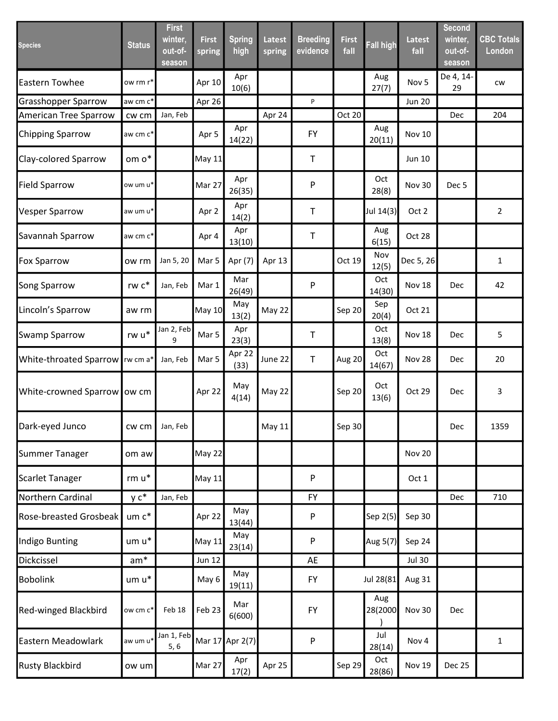| <b>Species</b>              | <b>Status</b>          | <b>First</b><br>winter,<br>out-of-<br>season | <b>First</b><br>spring | <b>Spring</b><br>high | <b>Latest</b><br>spring | <b>Breeding</b><br>evidence | <b>First</b><br>fall | <b>Fall high</b> | <b>Latest</b><br>fall | <b>Second</b><br>winter,<br>out-of-<br>season | <b>CBC Totals</b><br>London |
|-----------------------------|------------------------|----------------------------------------------|------------------------|-----------------------|-------------------------|-----------------------------|----------------------|------------------|-----------------------|-----------------------------------------------|-----------------------------|
| <b>Eastern Towhee</b>       | ow rm r*               |                                              | Apr 10                 | Apr<br>10(6)          |                         |                             |                      | Aug<br>27(7)     | Nov <sub>5</sub>      | De 4, 14-<br>29                               | CW                          |
| <b>Grasshopper Sparrow</b>  | aw cm c <sup>*</sup>   |                                              | Apr 26                 |                       |                         | P                           |                      |                  | <b>Jun 20</b>         |                                               |                             |
| American Tree Sparrow       | cw cm                  | Jan, Feb                                     |                        |                       | Apr 24                  |                             | Oct 20               |                  |                       | Dec                                           | 204                         |
| <b>Chipping Sparrow</b>     | aw cm c*               |                                              | Apr 5                  | Apr<br>14(22)         |                         | <b>FY</b>                   |                      | Aug<br>20(11)    | <b>Nov 10</b>         |                                               |                             |
| Clay-colored Sparrow        | om o*                  |                                              | May 11                 |                       |                         | $\mathsf T$                 |                      |                  | Jun 10                |                                               |                             |
| <b>Field Sparrow</b>        | ow um u*               |                                              | Mar 27                 | Apr<br>26(35)         |                         | P                           |                      | Oct<br>28(8)     | <b>Nov 30</b>         | Dec <sub>5</sub>                              |                             |
| <b>Vesper Sparrow</b>       | aw um u*               |                                              | Apr 2                  | Apr<br>14(2)          |                         | Τ                           |                      | Jul 14(3)        | Oct 2                 |                                               | $\overline{2}$              |
| Savannah Sparrow            | aw cm c*               |                                              | Apr 4                  | Apr<br>13(10)         |                         | $\top$                      |                      | Aug<br>6(15)     | Oct 28                |                                               |                             |
| <b>Fox Sparrow</b>          | ow rm                  | Jan 5, 20                                    | Mar <sub>5</sub>       | Apr (7)               | Apr 13                  |                             | Oct 19               | Nov<br>12(5)     | Dec 5, 26             |                                               | $\mathbf{1}$                |
| Song Sparrow                | rw $\mathsf{c}^*$      | Jan, Feb                                     | Mar 1                  | Mar<br>26(49)         |                         | P                           |                      | Oct<br>14(30)    | Nov 18                | Dec                                           | 42                          |
| Lincoln's Sparrow           | aw rm                  |                                              | May 10                 | May<br>13(2)          | May 22                  |                             | Sep 20               | Sep<br>20(4)     | Oct 21                |                                               |                             |
| <b>Swamp Sparrow</b>        | rw $\mathsf{u}^*$      | Jan 2, Feb<br>9                              | Mar 5                  | Apr<br>23(3)          |                         | Τ                           |                      | Oct<br>13(8)     | Nov 18                | Dec                                           | 5                           |
| White-throated Sparrow      | rw cm a*               | Jan, Feb                                     | Mar 5                  | Apr 22<br>(33)        | June 22                 | $\mathsf T$                 | Aug 20               | Oct<br>14(67)    | Nov 28                | Dec                                           | 20                          |
| White-crowned Sparrow ow cm |                        |                                              | Apr 22                 | May<br>4(14)          | May 22                  |                             | Sep 20               | Oct<br>13(6)     | Oct 29                | Dec                                           | 3                           |
| Dark-eyed Junco             | $cw$ cm $\blacksquare$ | Jan, Feb                                     |                        |                       | May 11                  |                             | Sep 30               |                  |                       | Dec                                           | 1359                        |
| Summer Tanager              | om aw                  |                                              | May 22                 |                       |                         |                             |                      |                  | Nov 20                |                                               |                             |
| Scarlet Tanager             | $rm u*$                |                                              | <b>May 11</b>          |                       |                         | P                           |                      |                  | Oct 1                 |                                               |                             |
| Northern Cardinal           | $y c^*$                | Jan, Feb                                     |                        |                       |                         | <b>FY</b>                   |                      |                  |                       | Dec                                           | 710                         |
| Rose-breasted Grosbeak      | um c*                  |                                              | Apr 22                 | May<br>13(44)         |                         | P                           |                      | Sep 2(5)         | Sep 30                |                                               |                             |
| Indigo Bunting              | um u*                  |                                              | <b>May 11</b>          | May<br>23(14)         |                         | P                           |                      | Aug 5(7)         | Sep 24                |                                               |                             |
| Dickcissel                  | $am*$                  |                                              | <b>Jun 12</b>          |                       |                         | AE                          |                      |                  | <b>Jul 30</b>         |                                               |                             |
| <b>Bobolink</b>             | um u*                  |                                              | May 6                  | May<br>19(11)         |                         | <b>FY</b>                   |                      | Jul 28(81        | Aug 31                |                                               |                             |
| Red-winged Blackbird        | ow cm c*               | Feb 18                                       | Feb 23                 | Mar<br>6(600)         |                         | <b>FY</b>                   |                      | Aug<br>28(2000   | Nov 30                | <b>Dec</b>                                    |                             |
| Eastern Meadowlark          | aw um u*               | Jan 1, Feb<br>5, 6                           | Mar 17                 | Apr 2(7)              |                         | P                           |                      | Jul<br>28(14)    | Nov 4                 |                                               | $\mathbf 1$                 |
| <b>Rusty Blackbird</b>      | ow um                  |                                              | Mar 27                 | Apr<br>17(2)          | Apr 25                  |                             | Sep 29               | Oct<br>28(86)    | <b>Nov 19</b>         | Dec 25                                        |                             |